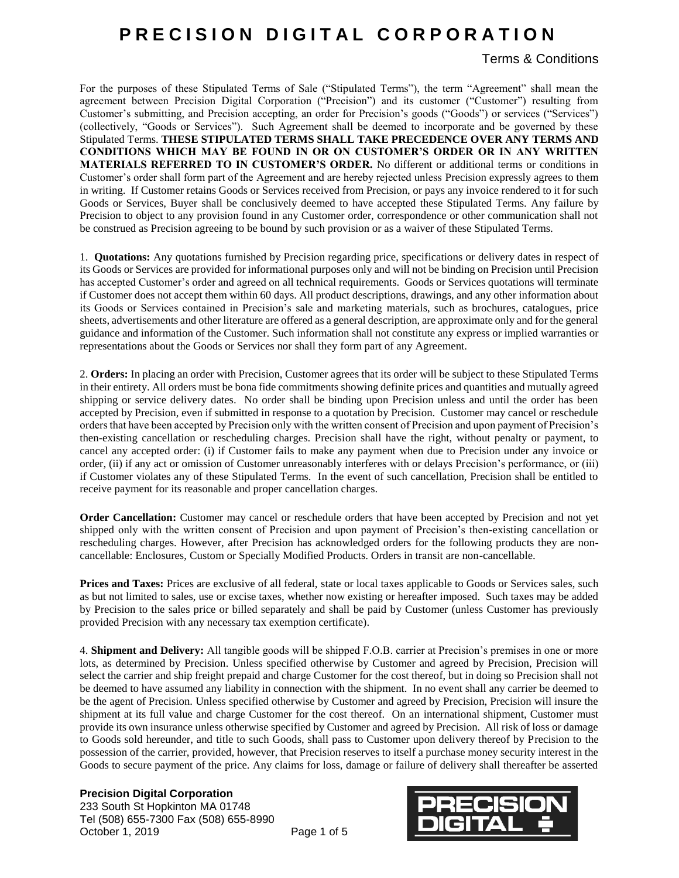### Terms & Conditions

For the purposes of these Stipulated Terms of Sale ("Stipulated Terms"), the term "Agreement" shall mean the agreement between Precision Digital Corporation ("Precision") and its customer ("Customer") resulting from Customer's submitting, and Precision accepting, an order for Precision's goods ("Goods") or services ("Services") (collectively, "Goods or Services"). Such Agreement shall be deemed to incorporate and be governed by these Stipulated Terms. **THESE STIPULATED TERMS SHALL TAKE PRECEDENCE OVER ANY TERMS AND CONDITIONS WHICH MAY BE FOUND IN OR ON CUSTOMER'S ORDER OR IN ANY WRITTEN MATERIALS REFERRED TO IN CUSTOMER'S ORDER.** No different or additional terms or conditions in Customer's order shall form part of the Agreement and are hereby rejected unless Precision expressly agrees to them in writing. If Customer retains Goods or Services received from Precision, or pays any invoice rendered to it for such Goods or Services, Buyer shall be conclusively deemed to have accepted these Stipulated Terms. Any failure by Precision to object to any provision found in any Customer order, correspondence or other communication shall not be construed as Precision agreeing to be bound by such provision or as a waiver of these Stipulated Terms.

1. **Quotations:** Any quotations furnished by Precision regarding price, specifications or delivery dates in respect of its Goods or Services are provided for informational purposes only and will not be binding on Precision until Precision has accepted Customer's order and agreed on all technical requirements. Goods or Services quotations will terminate if Customer does not accept them within 60 days. All product descriptions, drawings, and any other information about its Goods or Services contained in Precision's sale and marketing materials, such as brochures, catalogues, price sheets, advertisements and other literature are offered as a general description, are approximate only and for the general guidance and information of the Customer. Such information shall not constitute any express or implied warranties or representations about the Goods or Services nor shall they form part of any Agreement.

2. **Orders:** In placing an order with Precision, Customer agrees that its order will be subject to these Stipulated Terms in their entirety. All orders must be bona fide commitments showing definite prices and quantities and mutually agreed shipping or service delivery dates. No order shall be binding upon Precision unless and until the order has been accepted by Precision, even if submitted in response to a quotation by Precision. Customer may cancel or reschedule orders that have been accepted by Precision only with the written consent of Precision and upon payment of Precision's then-existing cancellation or rescheduling charges. Precision shall have the right, without penalty or payment, to cancel any accepted order: (i) if Customer fails to make any payment when due to Precision under any invoice or order, (ii) if any act or omission of Customer unreasonably interferes with or delays Precision's performance, or (iii) if Customer violates any of these Stipulated Terms. In the event of such cancellation, Precision shall be entitled to receive payment for its reasonable and proper cancellation charges.

**Order Cancellation:** Customer may cancel or reschedule orders that have been accepted by Precision and not yet shipped only with the written consent of Precision and upon payment of Precision's then-existing cancellation or rescheduling charges. However, after Precision has acknowledged orders for the following products they are noncancellable: Enclosures, Custom or Specially Modified Products. Orders in transit are non-cancellable.

**Prices and Taxes:** Prices are exclusive of all federal, state or local taxes applicable to Goods or Services sales, such as but not limited to sales, use or excise taxes, whether now existing or hereafter imposed. Such taxes may be added by Precision to the sales price or billed separately and shall be paid by Customer (unless Customer has previously provided Precision with any necessary tax exemption certificate).

4. **Shipment and Delivery:** All tangible goods will be shipped F.O.B. carrier at Precision's premises in one or more lots, as determined by Precision. Unless specified otherwise by Customer and agreed by Precision, Precision will select the carrier and ship freight prepaid and charge Customer for the cost thereof, but in doing so Precision shall not be deemed to have assumed any liability in connection with the shipment. In no event shall any carrier be deemed to be the agent of Precision. Unless specified otherwise by Customer and agreed by Precision, Precision will insure the shipment at its full value and charge Customer for the cost thereof. On an international shipment, Customer must provide its own insurance unless otherwise specified by Customer and agreed by Precision. All risk of loss or damage to Goods sold hereunder, and title to such Goods, shall pass to Customer upon delivery thereof by Precision to the possession of the carrier, provided, however, that Precision reserves to itself a purchase money security interest in the Goods to secure payment of the price. Any claims for loss, damage or failure of delivery shall thereafter be asserted

### **Precision Digital Corporation**

233 South St Hopkinton MA 01748 Tel (508) 655-7300 Fax (508) 655-8990 October 1, 2019 Page 1 of 5

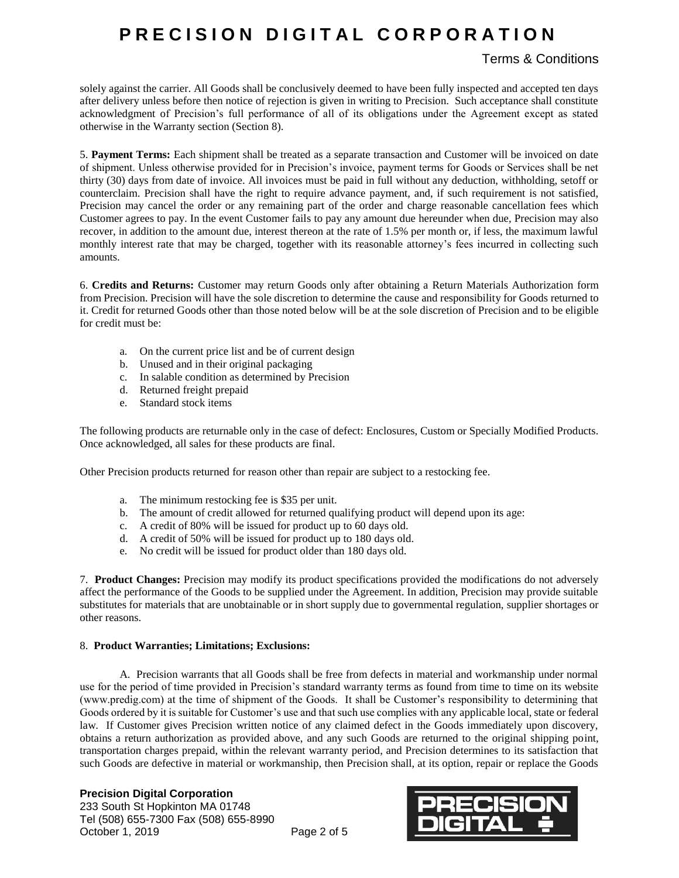## Terms & Conditions

solely against the carrier. All Goods shall be conclusively deemed to have been fully inspected and accepted ten days after delivery unless before then notice of rejection is given in writing to Precision. Such acceptance shall constitute acknowledgment of Precision's full performance of all of its obligations under the Agreement except as stated otherwise in the Warranty section (Section 8).

5. **Payment Terms:** Each shipment shall be treated as a separate transaction and Customer will be invoiced on date of shipment. Unless otherwise provided for in Precision's invoice, payment terms for Goods or Services shall be net thirty (30) days from date of invoice. All invoices must be paid in full without any deduction, withholding, setoff or counterclaim. Precision shall have the right to require advance payment, and, if such requirement is not satisfied, Precision may cancel the order or any remaining part of the order and charge reasonable cancellation fees which Customer agrees to pay. In the event Customer fails to pay any amount due hereunder when due, Precision may also recover, in addition to the amount due, interest thereon at the rate of 1.5% per month or, if less, the maximum lawful monthly interest rate that may be charged, together with its reasonable attorney's fees incurred in collecting such amounts.

6. **Credits and Returns:** Customer may return Goods only after obtaining a Return Materials Authorization form from Precision. Precision will have the sole discretion to determine the cause and responsibility for Goods returned to it. Credit for returned Goods other than those noted below will be at the sole discretion of Precision and to be eligible for credit must be:

- a. On the current price list and be of current design
- b. Unused and in their original packaging
- c. In salable condition as determined by Precision
- d. Returned freight prepaid
- e. Standard stock items

The following products are returnable only in the case of defect: Enclosures, Custom or Specially Modified Products. Once acknowledged, all sales for these products are final.

Other Precision products returned for reason other than repair are subject to a restocking fee.

- a. The minimum restocking fee is \$35 per unit.
- b. The amount of credit allowed for returned qualifying product will depend upon its age:
- c. A credit of 80% will be issued for product up to 60 days old.
- d. A credit of 50% will be issued for product up to 180 days old.
- e. No credit will be issued for product older than 180 days old.

7. **Product Changes:** Precision may modify its product specifications provided the modifications do not adversely affect the performance of the Goods to be supplied under the Agreement. In addition, Precision may provide suitable substitutes for materials that are unobtainable or in short supply due to governmental regulation, supplier shortages or other reasons.

### 8. **Product Warranties; Limitations; Exclusions:**

A. Precision warrants that all Goods shall be free from defects in material and workmanship under normal use for the period of time provided in Precision's standard warranty terms as found from time to time on its website (www.predig.com) at the time of shipment of the Goods. It shall be Customer's responsibility to determining that Goods ordered by it is suitable for Customer's use and that such use complies with any applicable local, state or federal law. If Customer gives Precision written notice of any claimed defect in the Goods immediately upon discovery, obtains a return authorization as provided above, and any such Goods are returned to the original shipping point, transportation charges prepaid, within the relevant warranty period, and Precision determines to its satisfaction that such Goods are defective in material or workmanship, then Precision shall, at its option, repair or replace the Goods

### **Precision Digital Corporation**

233 South St Hopkinton MA 01748 Tel (508) 655-7300 Fax (508) 655-8990 October 1, 2019 Page 2 of 5

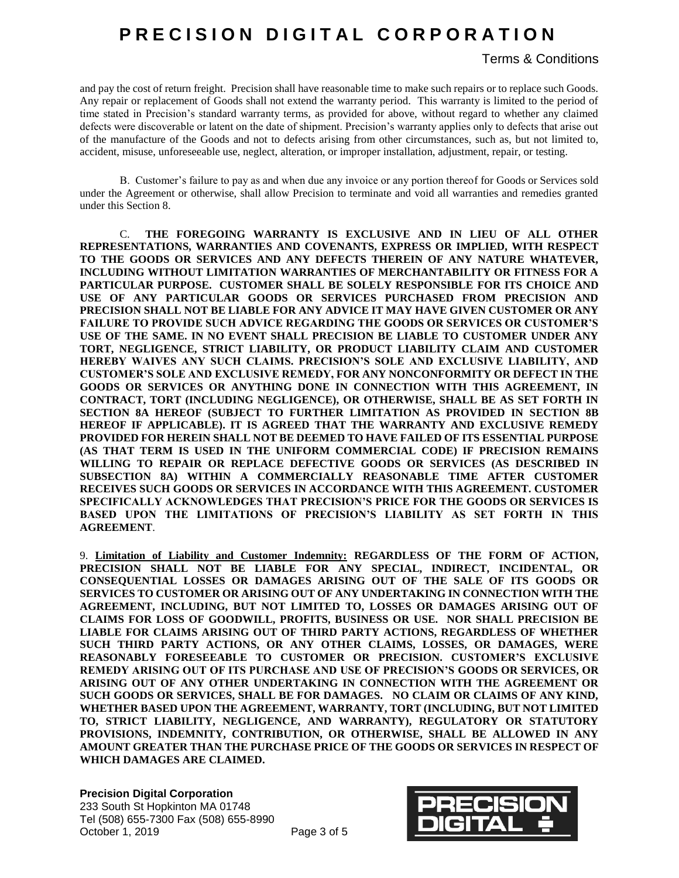## **PRECISION DIGITAL CORPORATION**

Terms & Conditions

and pay the cost of return freight. Precision shall have reasonable time to make such repairs or to replace such Goods. Any repair or replacement of Goods shall not extend the warranty period. This warranty is limited to the period of time stated in Precision's standard warranty terms, as provided for above, without regard to whether any claimed defects were discoverable or latent on the date of shipment. Precision's warranty applies only to defects that arise out of the manufacture of the Goods and not to defects arising from other circumstances, such as, but not limited to, accident, misuse, unforeseeable use, neglect, alteration, or improper installation, adjustment, repair, or testing.

B. Customer's failure to pay as and when due any invoice or any portion thereof for Goods or Services sold under the Agreement or otherwise, shall allow Precision to terminate and void all warranties and remedies granted under this Section 8.

C. **THE FOREGOING WARRANTY IS EXCLUSIVE AND IN LIEU OF ALL OTHER REPRESENTATIONS, WARRANTIES AND COVENANTS, EXPRESS OR IMPLIED, WITH RESPECT TO THE GOODS OR SERVICES AND ANY DEFECTS THEREIN OF ANY NATURE WHATEVER, INCLUDING WITHOUT LIMITATION WARRANTIES OF MERCHANTABILITY OR FITNESS FOR A PARTICULAR PURPOSE. CUSTOMER SHALL BE SOLELY RESPONSIBLE FOR ITS CHOICE AND USE OF ANY PARTICULAR GOODS OR SERVICES PURCHASED FROM PRECISION AND PRECISION SHALL NOT BE LIABLE FOR ANY ADVICE IT MAY HAVE GIVEN CUSTOMER OR ANY FAILURE TO PROVIDE SUCH ADVICE REGARDING THE GOODS OR SERVICES OR CUSTOMER'S USE OF THE SAME. IN NO EVENT SHALL PRECISION BE LIABLE TO CUSTOMER UNDER ANY TORT, NEGLIGENCE, STRICT LIABILITY, OR PRODUCT LIABILITY CLAIM AND CUSTOMER HEREBY WAIVES ANY SUCH CLAIMS. PRECISION'S SOLE AND EXCLUSIVE LIABILITY, AND CUSTOMER'S SOLE AND EXCLUSIVE REMEDY, FOR ANY NONCONFORMITY OR DEFECT IN THE GOODS OR SERVICES OR ANYTHING DONE IN CONNECTION WITH THIS AGREEMENT, IN CONTRACT, TORT (INCLUDING NEGLIGENCE), OR OTHERWISE, SHALL BE AS SET FORTH IN SECTION 8A HEREOF (SUBJECT TO FURTHER LIMITATION AS PROVIDED IN SECTION 8B HEREOF IF APPLICABLE). IT IS AGREED THAT THE WARRANTY AND EXCLUSIVE REMEDY PROVIDED FOR HEREIN SHALL NOT BE DEEMED TO HAVE FAILED OF ITS ESSENTIAL PURPOSE (AS THAT TERM IS USED IN THE UNIFORM COMMERCIAL CODE) IF PRECISION REMAINS WILLING TO REPAIR OR REPLACE DEFECTIVE GOODS OR SERVICES (AS DESCRIBED IN SUBSECTION 8A) WITHIN A COMMERCIALLY REASONABLE TIME AFTER CUSTOMER RECEIVES SUCH GOODS OR SERVICES IN ACCORDANCE WITH THIS AGREEMENT. CUSTOMER SPECIFICALLY ACKNOWLEDGES THAT PRECISION'S PRICE FOR THE GOODS OR SERVICES IS BASED UPON THE LIMITATIONS OF PRECISION'S LIABILITY AS SET FORTH IN THIS AGREEMENT**.

9. **Limitation of Liability and Customer Indemnity: REGARDLESS OF THE FORM OF ACTION, PRECISION SHALL NOT BE LIABLE FOR ANY SPECIAL, INDIRECT, INCIDENTAL, OR CONSEQUENTIAL LOSSES OR DAMAGES ARISING OUT OF THE SALE OF ITS GOODS OR SERVICES TO CUSTOMER OR ARISING OUT OF ANY UNDERTAKING IN CONNECTION WITH THE AGREEMENT, INCLUDING, BUT NOT LIMITED TO, LOSSES OR DAMAGES ARISING OUT OF CLAIMS FOR LOSS OF GOODWILL, PROFITS, BUSINESS OR USE. NOR SHALL PRECISION BE LIABLE FOR CLAIMS ARISING OUT OF THIRD PARTY ACTIONS, REGARDLESS OF WHETHER SUCH THIRD PARTY ACTIONS, OR ANY OTHER CLAIMS, LOSSES, OR DAMAGES, WERE REASONABLY FORESEEABLE TO CUSTOMER OR PRECISION. CUSTOMER'S EXCLUSIVE REMEDY ARISING OUT OF ITS PURCHASE AND USE OF PRECISION'S GOODS OR SERVICES, OR ARISING OUT OF ANY OTHER UNDERTAKING IN CONNECTION WITH THE AGREEMENT OR SUCH GOODS OR SERVICES, SHALL BE FOR DAMAGES. NO CLAIM OR CLAIMS OF ANY KIND, WHETHER BASED UPON THE AGREEMENT, WARRANTY, TORT (INCLUDING, BUT NOT LIMITED TO, STRICT LIABILITY, NEGLIGENCE, AND WARRANTY), REGULATORY OR STATUTORY PROVISIONS, INDEMNITY, CONTRIBUTION, OR OTHERWISE, SHALL BE ALLOWED IN ANY AMOUNT GREATER THAN THE PURCHASE PRICE OF THE GOODS OR SERVICES IN RESPECT OF WHICH DAMAGES ARE CLAIMED.**

**Precision Digital Corporation** 233 South St Hopkinton MA 01748 Tel (508) 655-7300 Fax (508) 655-8990 October 1, 2019 Page 3 of 5

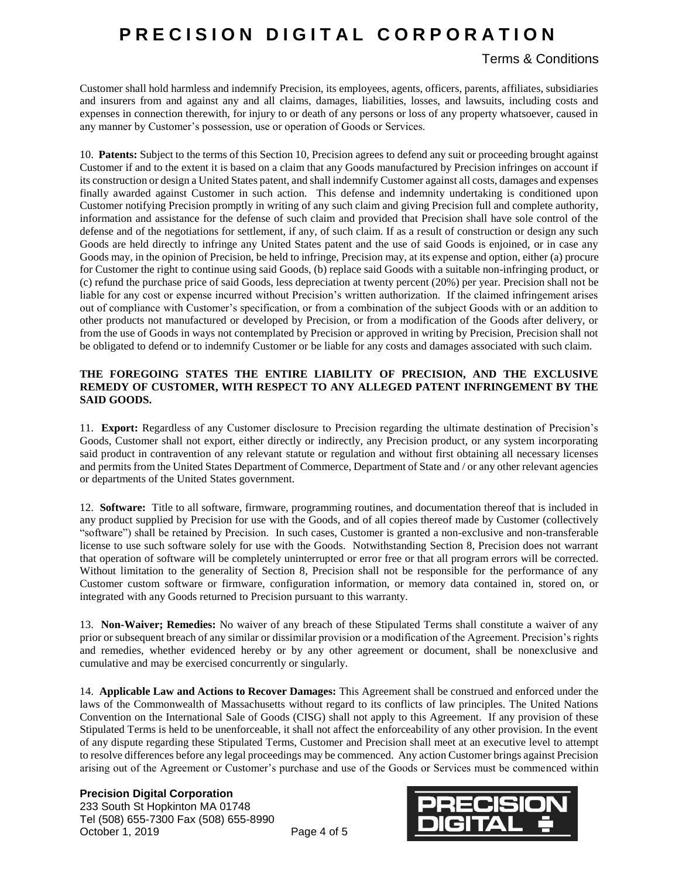### Terms & Conditions

Customer shall hold harmless and indemnify Precision, its employees, agents, officers, parents, affiliates, subsidiaries and insurers from and against any and all claims, damages, liabilities, losses, and lawsuits, including costs and expenses in connection therewith, for injury to or death of any persons or loss of any property whatsoever, caused in any manner by Customer's possession, use or operation of Goods or Services.

10. **Patents:** Subject to the terms of this Section 10, Precision agrees to defend any suit or proceeding brought against Customer if and to the extent it is based on a claim that any Goods manufactured by Precision infringes on account if its construction or design a United States patent, and shall indemnify Customer against all costs, damages and expenses finally awarded against Customer in such action. This defense and indemnity undertaking is conditioned upon Customer notifying Precision promptly in writing of any such claim and giving Precision full and complete authority, information and assistance for the defense of such claim and provided that Precision shall have sole control of the defense and of the negotiations for settlement, if any, of such claim. If as a result of construction or design any such Goods are held directly to infringe any United States patent and the use of said Goods is enjoined, or in case any Goods may, in the opinion of Precision, be held to infringe, Precision may, at its expense and option, either (a) procure for Customer the right to continue using said Goods, (b) replace said Goods with a suitable non-infringing product, or (c) refund the purchase price of said Goods, less depreciation at twenty percent (20%) per year. Precision shall not be liable for any cost or expense incurred without Precision's written authorization. If the claimed infringement arises out of compliance with Customer's specification, or from a combination of the subject Goods with or an addition to other products not manufactured or developed by Precision, or from a modification of the Goods after delivery, or from the use of Goods in ways not contemplated by Precision or approved in writing by Precision, Precision shall not be obligated to defend or to indemnify Customer or be liable for any costs and damages associated with such claim.

### **THE FOREGOING STATES THE ENTIRE LIABILITY OF PRECISION, AND THE EXCLUSIVE REMEDY OF CUSTOMER, WITH RESPECT TO ANY ALLEGED PATENT INFRINGEMENT BY THE SAID GOODS.**

11. **Export:** Regardless of any Customer disclosure to Precision regarding the ultimate destination of Precision's Goods, Customer shall not export, either directly or indirectly, any Precision product, or any system incorporating said product in contravention of any relevant statute or regulation and without first obtaining all necessary licenses and permits from the United States Department of Commerce, Department of State and / or any other relevant agencies or departments of the United States government.

12. **Software:** Title to all software, firmware, programming routines, and documentation thereof that is included in any product supplied by Precision for use with the Goods, and of all copies thereof made by Customer (collectively "software") shall be retained by Precision. In such cases, Customer is granted a non-exclusive and non-transferable license to use such software solely for use with the Goods. Notwithstanding Section 8, Precision does not warrant that operation of software will be completely uninterrupted or error free or that all program errors will be corrected. Without limitation to the generality of Section 8, Precision shall not be responsible for the performance of any Customer custom software or firmware, configuration information, or memory data contained in, stored on, or integrated with any Goods returned to Precision pursuant to this warranty.

13. **Non-Waiver; Remedies:** No waiver of any breach of these Stipulated Terms shall constitute a waiver of any prior or subsequent breach of any similar or dissimilar provision or a modification of the Agreement. Precision's rights and remedies, whether evidenced hereby or by any other agreement or document, shall be nonexclusive and cumulative and may be exercised concurrently or singularly.

14. **Applicable Law and Actions to Recover Damages:** This Agreement shall be construed and enforced under the laws of the Commonwealth of Massachusetts without regard to its conflicts of law principles. The United Nations Convention on the International Sale of Goods (CISG) shall not apply to this Agreement. If any provision of these Stipulated Terms is held to be unenforceable, it shall not affect the enforceability of any other provision. In the event of any dispute regarding these Stipulated Terms, Customer and Precision shall meet at an executive level to attempt to resolve differences before any legal proceedings may be commenced. Any action Customer brings against Precision arising out of the Agreement or Customer's purchase and use of the Goods or Services must be commenced within

### **Precision Digital Corporation**

233 South St Hopkinton MA 01748 Tel (508) 655-7300 Fax (508) 655-8990 October 1, 2019 Page 4 of 5